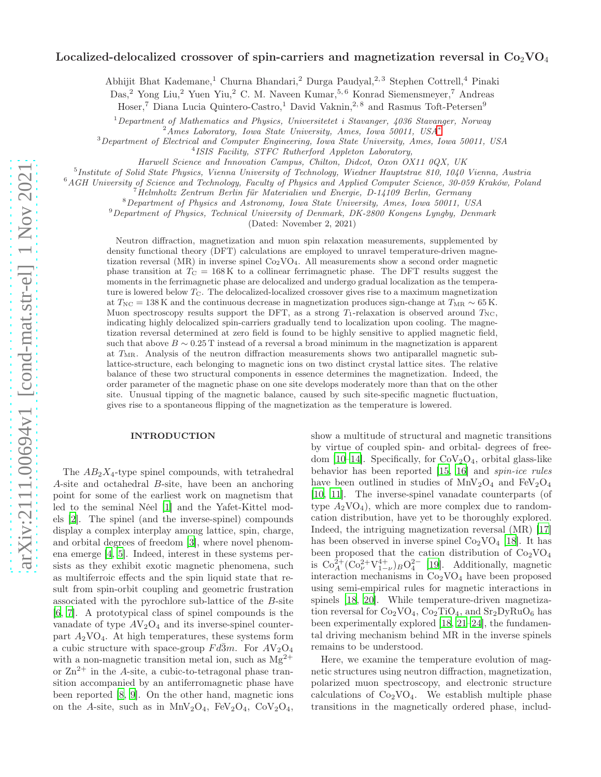# Localized-delocalized crossover of spin-carriers and magnetization reversal in  $Co_2VO_4$

Abhijit Bhat Kademane,<sup>1</sup> Churna Bhandari,<sup>2</sup> Durga Paudyal,<sup>2,3</sup> Stephen Cottrell,<sup>4</sup> Pinaki

Das,<sup>2</sup> Yong Liu,<sup>2</sup> Yuen Yiu,<sup>2</sup> C. M. Naveen Kumar,<sup>5,6</sup> Konrad Siemensmeyer,<sup>7</sup> Andreas

Hoser,<sup>7</sup> Diana Lucia Quintero-Castro,<sup>1</sup> David Vaknin,<sup>2,8</sup> and Rasmus Toft-Petersen<sup>9</sup>

 $1$  Department of Mathematics and Physics, Universitetet i Stavanger, 4036 Stavanger, Norway

 $^{2}$ Ames Laboratory, Iowa State University, Ames, Iowa 50011, USA<sup>\*</sup>

<sup>3</sup>Department of Electrical and Computer Engineering, Iowa State University, Ames, Iowa 50011, USA

4 ISIS Facility, STFC Rutherford Appleton Laboratory,

Harwell Science and Innovation Campus, Chilton, Didcot, Oxon OX11 0QX, UK

5 Institute of Solid State Physics, Vienna University of Technology, Wiedner Hauptstrae 810, 1040 Vienna, Austria

<sup>6</sup>AGH University of Science and Technology, Faculty of Physics and Applied Computer Science, 30-059 Kraków, Poland

 $^{7}$ Helmholtz Zentrum Berlin für Materialien und Energie, D-14109 Berlin, Germany

<sup>8</sup>Department of Physics and Astronomy, Iowa State University, Ames, Iowa 50011, USA

<sup>9</sup>Department of Physics, Technical University of Denmark, DK-2800 Kongens Lyngby, Denmark

(Dated: November 2, 2021)

Neutron diffraction, magnetization and muon spin relaxation measurements, supplemented by density functional theory (DFT) calculations are employed to unravel temperature-driven magnetization reversal (MR) in inverse spinel  $Co<sub>2</sub>VO<sub>4</sub>$ . All measurements show a second order magnetic phase transition at  $T_{\rm C} = 168 \,\rm K$  to a collinear ferrimagnetic phase. The DFT results suggest the moments in the ferrimagnetic phase are delocalized and undergo gradual localization as the temperature is lowered below  $T_{\rm C}$ . The delocalized-localized crossover gives rise to a maximum magnetization at  $T_{\text{NC}} = 138$  K and the continuous decrease in magnetization produces sign-change at  $T_{\text{MR}} \sim 65$  K. Muon spectroscopy results support the DFT, as a strong  $T_1$ -relaxation is observed around  $T_{\rm NC}$ , indicating highly delocalized spin-carriers gradually tend to localization upon cooling. The magnetization reversal determined at zero field is found to be highly sensitive to applied magnetic field, such that above  $B \sim 0.25$  T instead of a reversal a broad minimum in the magnetization is apparent at  $T_{\text{MR}}$ . Analysis of the neutron diffraction measurements shows two antiparallel magnetic sublattice-structure, each belonging to magnetic ions on two distinct crystal lattice sites. The relative balance of these two structural components in essence determines the magnetization. Indeed, the order parameter of the magnetic phase on one site develops moderately more than that on the other site. Unusual tipping of the magnetic balance, caused by such site-specific magnetic fluctuation, gives rise to a spontaneous flipping of the magnetization as the temperature is lowered.

### INTRODUCTION

The  $AB_2X_4$ -type spinel compounds, with tetrahedral A-site and octahedral B-site, have been an anchoring point for some of the earliest work on magnetism that led to the seminal Néel [\[1](#page-7-1)] and the Yafet-Kittel models [\[2](#page-7-2)]. The spinel (and the inverse-spinel) compounds display a complex interplay among lattice, spin, charge, and orbital degrees of freedom [\[3\]](#page-8-0), where novel phenomena emerge [\[4](#page-8-1), [5](#page-8-2)]. Indeed, interest in these systems persists as they exhibit exotic magnetic phenomena, such as multiferroic effects and the spin liquid state that result from spin-orbit coupling and geometric frustration associated with the pyrochlore sub-lattice of the B-site [\[6,](#page-8-3) [7\]](#page-8-4). A prototypical class of spinel compounds is the vanadate of type  $AV_2O_4$  and its inverse-spinel counterpart  $A_2\text{VO}_4$ . At high temperatures, these systems form a cubic structure with space-group  $Fd\bar{3}m$ . For  $AV_2O_4$ with a non-magnetic transition metal ion, such as  $Mg^{2+}$ or  $\text{Zn}^{2+}$  in the A-site, a cubic-to-tetragonal phase transition accompanied by an antiferromagnetic phase have been reported [\[8](#page-8-5), [9\]](#page-8-6). On the other hand, magnetic ions on the A-site, such as in  $MnV_2O_4$ ,  $FeV_2O_4$ ,  $CoV_2O_4$ ,

show a multitude of structural and magnetic transitions by virtue of coupled spin- and orbital- degrees of free-dom [\[10](#page-8-7)[–14](#page-8-8)]. Specifically, for  $CoV<sub>2</sub>O<sub>4</sub>$ , orbital glass-like behavior has been reported [\[15,](#page-8-9) [16](#page-8-10)] and spin-ice rules have been outlined in studies of  $MnV_2O_4$  and  $FeV_2O_4$ [\[10,](#page-8-7) [11\]](#page-8-11). The inverse-spinel vanadate counterparts (of type  $A_2VO_4$ ), which are more complex due to randomcation distribution, have yet to be thoroughly explored. Indeed, the intriguing magnetization reversal (MR) [\[17](#page-8-12)] has been observed in inverse spinel  $Co<sub>2</sub>VO<sub>4</sub>$  [\[18\]](#page-8-13). It has been proposed that the cation distribution of  $Co<sub>2</sub>VO<sub>4</sub>$ is  $Co_A^{2+}(Co_{\nu}^{2+}V_{1-\nu}^{4+})_B O_4^{2-}$  [\[19](#page-8-14)]. Additionally, magnetic interaction mechanisms in  $Co<sub>2</sub>VO<sub>4</sub>$  have been proposed using semi-empirical rules for magnetic interactions in spinels [\[18](#page-8-13), [20\]](#page-8-15). While temperature-driven magnetization reversal for  $Co_2VO_4$ ,  $Co_2TiO_4$ , and  $Sr_2DyRuO_6$  has been experimentally explored [\[18,](#page-8-13) [21](#page-8-16)[–24\]](#page-8-17), the fundamental driving mechanism behind MR in the inverse spinels remains to be understood.

Here, we examine the temperature evolution of magnetic structures using neutron diffraction, magnetization, polarized muon spectroscopy, and electronic structure calculations of  $Co<sub>2</sub>VO<sub>4</sub>$ . We establish multiple phase transitions in the magnetically ordered phase, includ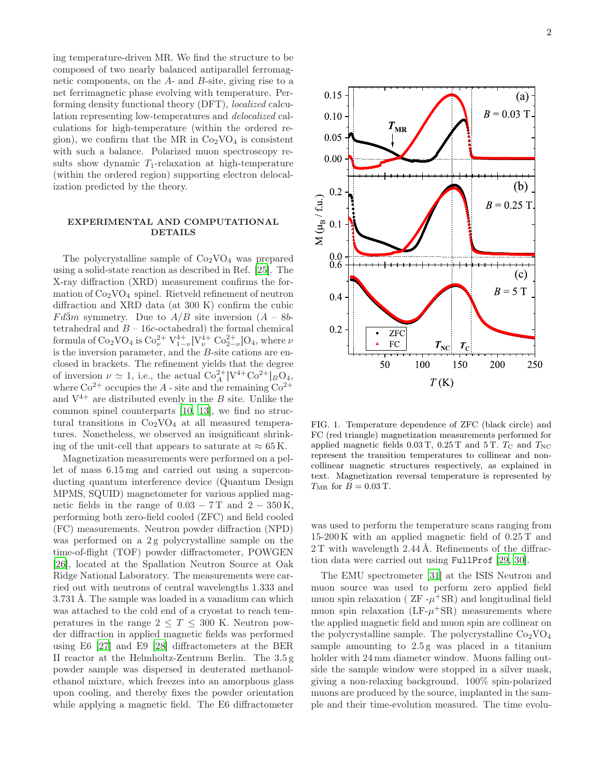ing temperature-driven MR. We find the structure to be composed of two nearly balanced antiparallel ferromagnetic components, on the A- and B-site, giving rise to a net ferrimagnetic phase evolving with temperature. Performing density functional theory (DFT), localized calculation representing low-temperatures and delocalized calculations for high-temperature (within the ordered region), we confirm that the MR in  $Co<sub>2</sub>VO<sub>4</sub>$  is consistent with such a balance. Polarized muon spectroscopy results show dynamic  $T_1$ -relaxation at high-temperature (within the ordered region) supporting electron delocalization predicted by the theory.

## EXPERIMENTAL AND COMPUTATIONAL DETAILS

The polycrystalline sample of  $Co<sub>2</sub>VO<sub>4</sub>$  was prepared using a solid-state reaction as described in Ref. [\[25](#page-8-18)]. The X-ray diffraction (XRD) measurement confirms the formation of  $Co<sub>2</sub>VO<sub>4</sub>$  spinel. Rietveld refinement of neutron diffraction and XRD data (at 300 K) confirm the cubic  $Fd\overline{3}m$  symmetry. Due to  $A/B$  site inversion  $(A - 8b$ tetrahedral and  $B - 16c$ -octahedral) the formal chemical formula of  $Co_2VO_4$  is  $Co_\nu^{2+} V_{1-\nu}^{4+} [V_\nu^{4+} Co_{2-\nu}^{2+}] O_4$ , where  $\nu$ is the inversion parameter, and the B-site cations are enclosed in brackets. The refinement yields that the degree of inversion  $\nu \simeq 1$ , i.e., the actual  $\text{Co}_{A}^{2+}[V^{4+}\text{Co}^{2+}]_B\text{O}_4$ , where  $\text{Co}^{2+}$  occupies the A - site and the remaining  $\text{Co}^{2+}$ and  $V^{4+}$  are distributed evenly in the B site. Unlike the common spinel counterparts [\[10,](#page-8-7) [13\]](#page-8-19), we find no structural transitions in  $Co<sub>2</sub>VO<sub>4</sub>$  at all measured temperatures. Nonetheless, we observed an insignificant shrinking of the unit-cell that appears to saturate at  $\approx 65$  K.

Magnetization measurements were performed on a pellet of mass 6.15 mg and carried out using a superconducting quantum interference device (Quantum Design MPMS, SQUID) magnetometer for various applied magnetic fields in the range of  $0.03 - 7$  T and  $2 - 350$  K, performing both zero-field cooled (ZFC) and field cooled (FC) measurements. Neutron powder diffraction (NPD) was performed on a 2g polycrystalline sample on the time-of-flight (TOF) powder diffractometer, POWGEN [\[26\]](#page-8-20), located at the Spallation Neutron Source at Oak Ridge National Laboratory. The measurements were carried out with neutrons of central wavelengths 1.333 and 3.731 Å. The sample was loaded in a vanadium can which was attached to the cold end of a cryostat to reach temperatures in the range  $2 \leq T \leq 300$  K. Neutron powder diffraction in applied magnetic fields was performed using E6 [\[27\]](#page-8-21) and E9 [\[28](#page-8-22)] diffractometers at the BER II reactor at the Helmholtz-Zentrum Berlin. The 3.5 g powder sample was dispersed in deuterated methanolethanol mixture, which freezes into an amorphous glass upon cooling, and thereby fixes the powder orientation while applying a magnetic field. The E6 diffractometer



<span id="page-1-0"></span>FIG. 1. Temperature dependence of ZFC (black circle) and FC (red triangle) magnetization measurements performed for applied magnetic fields  $0.03$  T,  $0.25$  T and  $5$  T.  $T_c$  and  $T_{NC}$ represent the transition temperatures to collinear and noncollinear magnetic structures respectively, as explained in text. Magnetization reversal temperature is represented by  $T_{MR}$  for  $B = 0.03$  T.

was used to perform the temperature scans ranging from 15-200 K with an applied magnetic field of 0.25 T and 2 T with wavelength 2.44 Å. Refinements of the diffraction data were carried out using FullProf [\[29](#page-8-23), [30](#page-8-24)].

The EMU spectrometer [\[31\]](#page-8-25) at the ISIS Neutron and muon source was used to perform zero applied field muon spin relaxation ( $ZF - \mu + SR$ ) and longitudinal field muon spin relaxation  $(LF-\mu + SR)$  measurements where the applied magnetic field and muon spin are collinear on the polycrystalline sample. The polycrystalline  $Co<sub>2</sub>VO<sub>4</sub>$ sample amounting to  $2.5 g$  was placed in a titanium holder with 24 mm diameter window. Muons falling outside the sample window were stopped in a silver mask, giving a non-relaxing background. 100% spin-polarized muons are produced by the source, implanted in the sample and their time-evolution measured. The time evolu-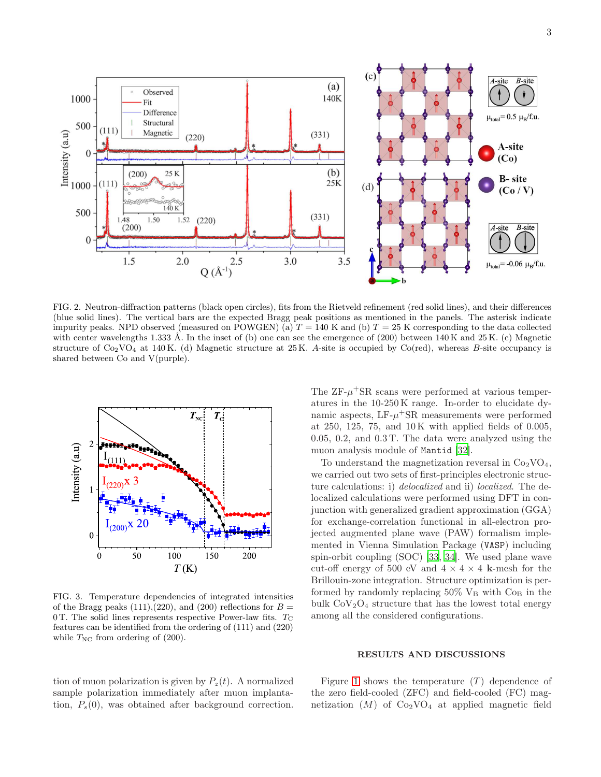

<span id="page-2-0"></span>FIG. 2. Neutron-diffraction patterns (black open circles), fits from the Rietveld refinement (red solid lines), and their differences (blue solid lines). The vertical bars are the expected Bragg peak positions as mentioned in the panels. The asterisk indicate impurity peaks. NPD observed (measured on POWGEN) (a)  $T = 140$  K and (b)  $T = 25$  K corresponding to the data collected with center wavelengths 1.333 Å. In the inset of (b) one can see the emergence of (200) between 140 K and 25 K. (c) Magnetic structure of  $Co_2VO_4$  at 140 K. (d) Magnetic structure at 25 K. A-site is occupied by  $Co(red)$ , whereas B-site occupancy is shared between Co and V(purple).



<span id="page-2-1"></span>FIG. 3. Temperature dependencies of integrated intensities of the Bragg peaks (111),(220), and (200) reflections for  $B =$ 0 T. The solid lines represents respective Power-law fits.  $T_{\rm C}$ features can be identified from the ordering of (111) and (220) while  $T_{\text{NC}}$  from ordering of (200).

tion of muon polarization is given by  $P_{z}(t)$ . A normalized sample polarization immediately after muon implantation,  $P_s(0)$ , was obtained after background correction.

The  $ZF-\mu$ <sup>+</sup>SR scans were performed at various temperatures in the 10-250 K range. In-order to elucidate dynamic aspects,  $LF-\mu+SR$  measurements were performed at 250, 125, 75, and 10 K with applied fields of 0.005, 0.05, 0.2, and 0.3 T. The data were analyzed using the muon analysis module of Mantid [\[32\]](#page-8-26).

To understand the magnetization reversal in  $Co<sub>2</sub>VO<sub>4</sub>$ , we carried out two sets of first-principles electronic structure calculations: i) delocalized and ii) localized. The delocalized calculations were performed using DFT in conjunction with generalized gradient approximation (GGA) for exchange-correlation functional in all-electron projected augmented plane wave (PAW) formalism implemented in Vienna Simulation Package (VASP) including spin-orbit coupling (SOC) [\[33](#page-8-27), [34\]](#page-8-28). We used plane wave cut-off energy of 500 eV and  $4 \times 4 \times 4$  k-mesh for the Brillouin-zone integration. Structure optimization is performed by randomly replacing  $50\%$  V<sub>B</sub> with Co<sub>B</sub> in the bulk  $CoV<sub>2</sub>O<sub>4</sub>$  structure that has the lowest total energy among all the considered configurations.

#### RESULTS AND DISCUSSIONS

Figure [1](#page-1-0) shows the temperature  $(T)$  dependence of the zero field-cooled (ZFC) and field-cooled (FC) magnetization  $(M)$  of  $Co<sub>2</sub>VO<sub>4</sub>$  at applied magnetic field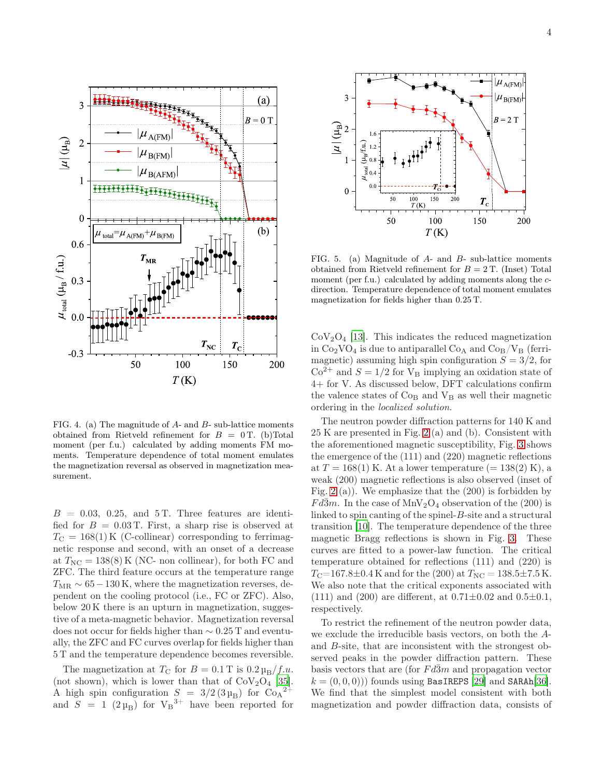

<span id="page-3-0"></span>FIG. 4. (a) The magnitude of A- and B- sub-lattice moments obtained from Rietveld refinement for  $B = 0$  T. (b)Total moment (per f.u.) calculated by adding moments FM moments. Temperature dependence of total moment emulates the magnetization reversal as observed in magnetization measurement.

 $B = 0.03, 0.25, \text{ and } 5 \text{ T}$ . Three features are identified for  $B = 0.03$  T. First, a sharp rise is observed at  $T_{\rm C} = 168(1)$  K (C-collinear) corresponding to ferrimagnetic response and second, with an onset of a decrease at  $T_{\text{NC}} = 138(8)$  K (NC- non collinear), for both FC and ZFC. The third feature occurs at the temperature range  $T_{MR} \sim 65-130$  K, where the magnetization reverses, dependent on the cooling protocol (i.e., FC or ZFC). Also, below 20 K there is an upturn in magnetization, suggestive of a meta-magnetic behavior. Magnetization reversal does not occur for fields higher than ∼ 0.25 T and eventually, the ZFC and FC curves overlap for fields higher than 5 T and the temperature dependence becomes reversible.

The magnetization at  $T_{\rm C}$  for  $B = 0.1$  T is  $0.2 \mu_{\rm B}/f.u.$ (not shown), which is lower than that of  $CoV<sub>2</sub>O<sub>4</sub>$  [\[35\]](#page-9-0). A high spin configuration  $S = 3/2 (3 \mu_B)$  for  $Co_A^{2+}$ and  $S = 1$  (2  $\mu_B$ ) for  $V_B^{3+}$  have been reported for



<span id="page-3-1"></span>FIG. 5. (a) Magnitude of A- and B- sub-lattice moments obtained from Rietveld refinement for  $B = 2$  T. (Inset) Total moment (per f.u.) calculated by adding moments along the cdirection. Temperature dependence of total moment emulates magnetization for fields higher than 0.25 T.

 $CoV<sub>2</sub>O<sub>4</sub>$  [\[13\]](#page-8-19). This indicates the reduced magnetization in  $Co_2VO_4$  is due to antiparallel  $Co_A$  and  $Co_B/V_B$  (ferrimagnetic) assuming high spin configuration  $S = 3/2$ , for  $Co<sup>2+</sup>$  and  $S = 1/2$  for  $V_B$  implying an oxidation state of 4+ for V. As discussed below, DFT calculations confirm the valence states of  $Co<sub>B</sub>$  and  $V<sub>B</sub>$  as well their magnetic ordering in the localized solution.

The neutron powder diffraction patterns for 140 K and 25 K are presented in Fig. [2](#page-2-0) (a) and (b). Consistent with the aforementioned magnetic susceptibility, Fig. [3](#page-2-1) shows the emergence of the (111) and (220) magnetic reflections at  $T = 168(1)$  K. At a lower temperature  $(= 138(2)$  K), a weak (200) magnetic reflections is also observed (inset of Fig. [2](#page-2-0) (a)). We emphasize that the (200) is forbidden by  $Fd\overline{3}m$ . In the case of MnV<sub>2</sub>O<sub>4</sub> observation of the (200) is linked to spin canting of the spinel-B-site and a structural transition [\[10\]](#page-8-7). The temperature dependence of the three magnetic Bragg reflections is shown in Fig. [3.](#page-2-1) These curves are fitted to a power-law function. The critical temperature obtained for reflections (111) and (220) is  $T_{\rm C}$ =167.8±0.4 K and for the (200) at  $T_{\rm NC}$  = 138.5±7.5 K. We also note that the critical exponents associated with (111) and (200) are different, at  $0.71 \pm 0.02$  and  $0.5 \pm 0.1$ , respectively.

To restrict the refinement of the neutron powder data, we exclude the irreducible basis vectors, on both the Aand B-site, that are inconsistent with the strongest observed peaks in the powder diffraction pattern. These basis vectors that are (for  $Fd\bar{3}m$  and propagation vector  $k = (0, 0, 0)$ ) founds using BasIREPS [\[29\]](#page-8-23) and SARAh[\[36\]](#page-9-1). We find that the simplest model consistent with both magnetization and powder diffraction data, consists of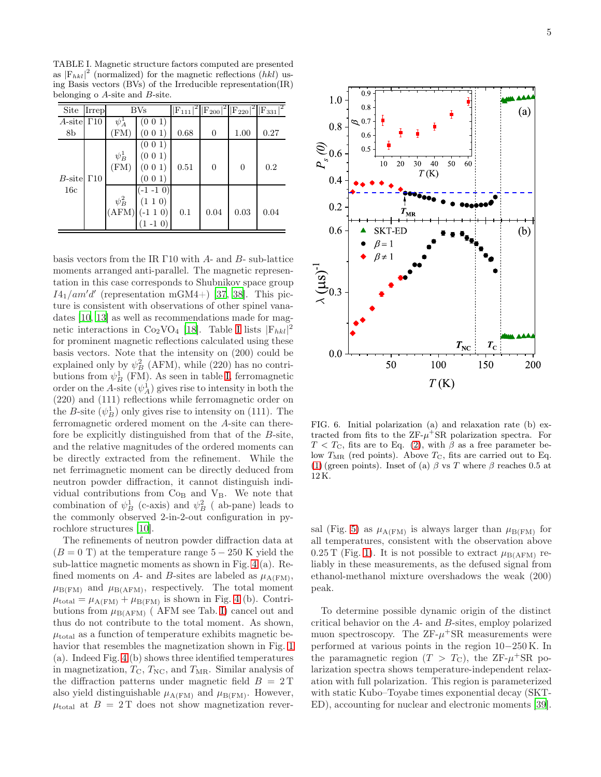<span id="page-4-0"></span>TABLE I. Magnetic structure factors computed are presented as  $|F_{hkl}|^2$  (normalized) for the magnetic reflections (hkl) using Basis vectors (BVs) of the Irreducible representation(IR) belonging o A-site and B-site.

| Site                  | Irrep | $\rm{BVs}$       |             |      |          |                | $ F_{111} ^2  F_{200} ^2  F_{220} ^2  F_{331} ^2$ |
|-----------------------|-------|------------------|-------------|------|----------|----------------|---------------------------------------------------|
| A-site $\Gamma$ 10    |       | $\psi_A^{\perp}$ | (0 0 1)     |      |          |                |                                                   |
| 8b                    |       | (FM)             | (0 0 1)     | 0.68 | $\theta$ | 1.00           | 0.27                                              |
|                       |       |                  | (0 0 1)     |      |          |                |                                                   |
|                       |       | $\psi_B^1$       | (0 0 1)     |      |          |                |                                                   |
|                       |       | (FM)             | (0 0 1)     | 0.51 | $\theta$ | $\overline{0}$ | 0.2                                               |
| $B$ -site $\Gamma$ 10 |       |                  | (0 0 1)     |      |          |                |                                                   |
| 16c                   |       |                  | $(-1 -1 0)$ |      |          |                |                                                   |
|                       |       | $\psi_B^2$       | (1 1 0)     |      |          |                |                                                   |
|                       |       | (AFM)            | $(-110)$    | 0.1  | 0.04     | 0.03           | 0.04                                              |
|                       |       |                  | $(1 - 1 0)$ |      |          |                |                                                   |

basis vectors from the IR Γ10 with A- and B- sub-lattice moments arranged anti-parallel. The magnetic representation in this case corresponds to Shubnikov space group  $I4_1$ /am'd' (representation mGM4+) [\[37,](#page-9-2) [38\]](#page-9-3). This picture is consistent with observations of other spinel vanadates [\[10,](#page-8-7) [13](#page-8-19)] as well as recommendations made for magnetic interactions in  $Co_2VO_4$  [\[18\]](#page-8-13). Table [I](#page-4-0) lists  $|F_{hkl}|^2$ for prominent magnetic reflections calculated using these basis vectors. Note that the intensity on (200) could be explained only by  $\psi_B^2$  (AFM), while (220) has no contributions from  $\psi_B^1$  (FM). As seen in table [I,](#page-4-0) ferromagnetic order on the A-site  $(\psi_A^1)$  gives rise to intensity in both the (220) and (111) reflections while ferromagnetic order on the *B*-site  $(\psi_B^1)$  only gives rise to intensity on (111). The ferromagnetic ordered moment on the A-site can therefore be explicitly distinguished from that of the B-site, and the relative magnitudes of the ordered moments can be directly extracted from the refinement. While the net ferrimagnetic moment can be directly deduced from neutron powder diffraction, it cannot distinguish individual contributions from  $Co<sub>B</sub>$  and  $V<sub>B</sub>$ . We note that combination of  $\psi_B^1$  (c-axis) and  $\psi_B^2$  (ab-pane) leads to the commonly observed 2-in-2-out configuration in pyrochlore structures [\[10\]](#page-8-7).

The refinements of neutron powder diffraction data at  $(B = 0$  T) at the temperature range  $5 - 250$  K yield the sub-lattice magnetic moments as shown in Fig. [4](#page-3-0) (a). Refined moments on A- and B-sites are labeled as  $\mu_{A(FM)}$ ,  $\mu_{\text{B(FM)}}$  and  $\mu_{\text{B(AFM)}}$ , respectively. The total moment  $\mu_{\text{total}} = \mu_{\text{A(FM)}} + \mu_{\text{B(FM)}}$  is shown in Fig. [4](#page-3-0) (b). Contributions from  $\mu_{\text{B(AFM)}}$  (AFM see Tab. [I\)](#page-4-0) cancel out and thus do not contribute to the total moment. As shown,  $\mu_{\text{total}}$  as a function of temperature exhibits magnetic behavior that resembles the magnetization shown in Fig. [1](#page-1-0) (a). Indeed Fig. [4](#page-3-0) (b) shows three identified temperatures in magnetization,  $T_{\rm C}$ ,  $T_{\rm NC}$ , and  $T_{\rm MR}$ . Similar analysis of the diffraction patterns under magnetic field  $B = 2T$ also yield distinguishable  $\mu_{A(FM)}$  and  $\mu_{B(FM)}$ . However,  $\mu_{\text{total}}$  at  $B = 2T$  does not show magnetization rever-



<span id="page-4-1"></span>FIG. 6. Initial polarization (a) and relaxation rate (b) extracted from fits to the  $ZF-\mu^+SR$  polarization spectra. For  $T < T_{\rm C}$ , fits are to Eq. [\(2\)](#page-5-0), with  $\beta$  as a free parameter below  $T_{MR}$  (red points). Above  $T_{C}$ , fits are carried out to Eq. [\(1\)](#page-5-1) (green points). Inset of (a)  $\beta$  vs T where  $\beta$  reaches 0.5 at 12 K.

sal (Fig. [5\)](#page-3-1) as  $\mu_{A(FM)}$  is always larger than  $\mu_{B(FM)}$  for all temperatures, consistent with the observation above 0.25 T (Fig. [1\)](#page-1-0). It is not possible to extract  $\mu_{\text{B(AFM)}}$  reliably in these measurements, as the defused signal from ethanol-methanol mixture overshadows the weak (200) peak.

To determine possible dynamic origin of the distinct critical behavior on the A- and B-sites, employ polarized muon spectroscopy. The  $ZF-\mu + SR$  measurements were performed at various points in the region 10−250 K. In the paramagnetic region  $(T > T_{\rm C})$ , the ZF- $\mu^+$ SR polarization spectra shows temperature-independent relaxation with full polarization. This region is parameterized with static Kubo–Toyabe times exponential decay (SKT-ED), accounting for nuclear and electronic moments [\[39\]](#page-9-4).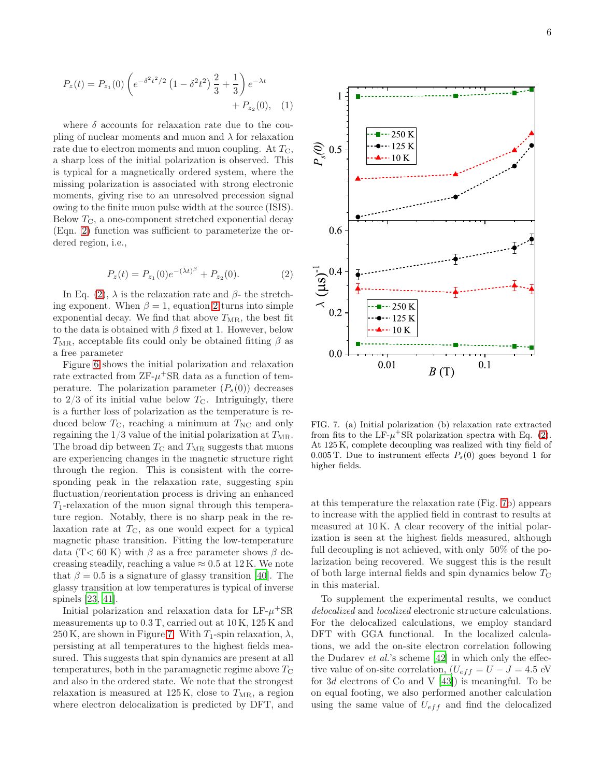$$
P_z(t) = P_{z_1}(0) \left( e^{-\delta^2 t^2/2} \left( 1 - \delta^2 t^2 \right) \frac{2}{3} + \frac{1}{3} \right) e^{-\lambda t} + P_{z_2}(0), \quad (1)
$$

where  $\delta$  accounts for relaxation rate due to the coupling of nuclear moments and muon and  $\lambda$  for relaxation rate due to electron moments and muon coupling. At  $T_{\rm C}$ , a sharp loss of the initial polarization is observed. This is typical for a magnetically ordered system, where the missing polarization is associated with strong electronic moments, giving rise to an unresolved precession signal owing to the finite muon pulse width at the source (ISIS). Below  $T_{\rm C}$ , a one-component stretched exponential decay (Eqn. [2\)](#page-5-0) function was sufficient to parameterize the ordered region, i.e.,

<span id="page-5-0"></span>
$$
P_z(t) = P_{z_1}(0)e^{-(\lambda t)^{\beta}} + P_{z_2}(0). \tag{2}
$$

In Eq. [\(2\)](#page-5-0),  $\lambda$  is the relaxation rate and  $\beta$ - the stretching exponent. When  $\beta = 1$ , equation [2](#page-5-0) turns into simple exponential decay. We find that above  $T_{\text{MR}}$ , the best fit to the data is obtained with  $\beta$  fixed at 1. However, below  $T<sub>MR</sub>$ , acceptable fits could only be obtained fitting  $\beta$  as a free parameter

Figure [6](#page-4-1) shows the initial polarization and relaxation rate extracted from  $ZF-\mu^+SR$  data as a function of temperature. The polarization parameter  $(P_s(0))$  decreases to  $2/3$  of its initial value below  $T_{\rm C}$ . Intriguingly, there is a further loss of polarization as the temperature is reduced below  $T_{\rm C}$ , reaching a minimum at  $T_{\rm NC}$  and only regaining the  $1/3$  value of the initial polarization at  $T_{\text{MR}}$ . The broad dip between  $T_{\rm C}$  and  $T_{\rm MR}$  suggests that muons are experiencing changes in the magnetic structure right through the region. This is consistent with the corresponding peak in the relaxation rate, suggesting spin fluctuation/reorientation process is driving an enhanced  $T_1$ -relaxation of the muon signal through this temperature region. Notably, there is no sharp peak in the relaxation rate at  $T_{\rm C}$ , as one would expect for a typical magnetic phase transition. Fitting the low-temperature data (T< 60 K) with  $\beta$  as a free parameter shows  $\beta$  decreasing steadily, reaching a value  $\approx 0.5$  at 12 K. We note that  $\beta = 0.5$  is a signature of glassy transition [\[40\]](#page-9-5). The glassy transition at low temperatures is typical of inverse spinels [\[23,](#page-8-29) [41\]](#page-9-6).

Initial polarization and relaxation data for  $LF-\mu + SR$ measurements up to 0.3 T, carried out at 10 K, 125 K and 250 K, are shown in Figure [7.](#page-5-2) With  $T_1$ -spin relaxation,  $\lambda$ , persisting at all temperatures to the highest fields measured. This suggests that spin dynamics are present at all temperatures, both in the paramagnetic regime above  $T_{\rm C}$ and also in the ordered state. We note that the strongest relaxation is measured at  $125\,\mathrm{K}$ , close to  $T_{\text{MR}}$ , a region where electron delocalization is predicted by DFT, and

<span id="page-5-1"></span>

<span id="page-5-2"></span>FIG. 7. (a) Initial polarization (b) relaxation rate extracted from fits to the LF- $\mu$ <sup>+</sup>SR polarization spectra with Eq. [\(2\)](#page-5-0). At 125 K, complete decoupling was realized with tiny field of 0.005 T. Due to instrument effects  $P_s(0)$  goes beyond 1 for higher fields.

at this temperature the relaxation rate (Fig. [7b](#page-5-2)) appears to increase with the applied field in contrast to results at measured at 10 K. A clear recovery of the initial polarization is seen at the highest fields measured, although full decoupling is not achieved, with only 50% of the polarization being recovered. We suggest this is the result of both large internal fields and spin dynamics below  $T_{\text{C}}$ in this material.

To supplement the experimental results, we conduct delocalized and localized electronic structure calculations. For the delocalized calculations, we employ standard DFT with GGA functional. In the localized calculations, we add the on-site electron correlation following the Dudarev  $et$  al.'s scheme  $[42]$  in which only the effective value of on-site correlation,  $(U_{eff} = U - J = 4.5 \text{ eV})$ for 3d electrons of Co and V [\[43\]](#page-9-8)) is meaningful. To be on equal footing, we also performed another calculation using the same value of  $U_{eff}$  and find the delocalized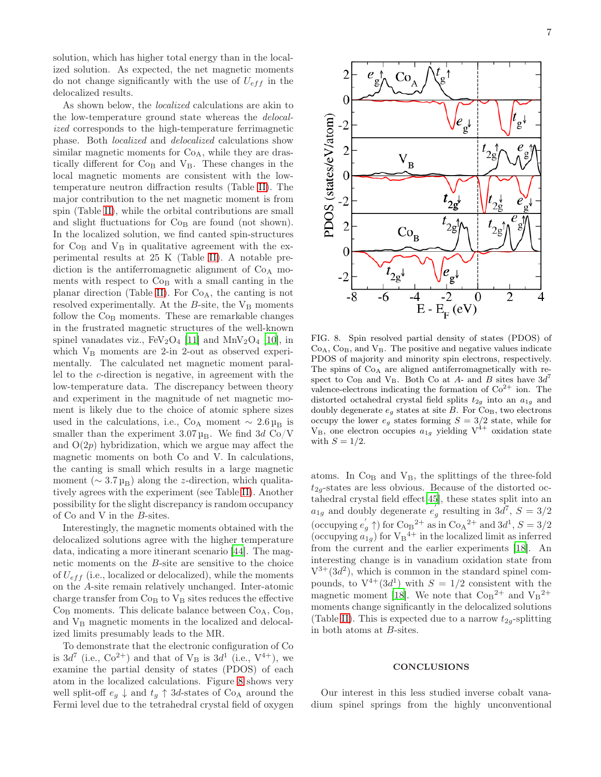solution, which has higher total energy than in the localized solution. As expected, the net magnetic moments do not change significantly with the use of  $U_{eff}$  in the delocalized results.

As shown below, the localized calculations are akin to the low-temperature ground state whereas the delocalized corresponds to the high-temperature ferrimagnetic phase. Both localized and delocalized calculations show similar magnetic moments for  $Co<sub>A</sub>$ , while they are drastically different for  $Co<sub>B</sub>$  and  $V<sub>B</sub>$ . These changes in the local magnetic moments are consistent with the lowtemperature neutron diffraction results (Table [II\)](#page-7-3). The major contribution to the net magnetic moment is from spin (Table [II\)](#page-7-3), while the orbital contributions are small and slight fluctuations for  $Co<sub>B</sub>$  are found (not shown). In the localized solution, we find canted spin-structures for  $Co<sub>B</sub>$  and  $V<sub>B</sub>$  in qualitative agreement with the experimental results at 25 K (Table [II\)](#page-7-3). A notable prediction is the antiferromagnetic alignment of  $Co<sub>A</sub>$  moments with respect to  $Co<sub>B</sub>$  with a small canting in the planar direction (Table [II\)](#page-7-3). For  $Co<sub>A</sub>$ , the canting is not resolved experimentally. At the  $B$ -site, the  $V_B$  moments follow the Co<sub>B</sub> moments. These are remarkable changes in the frustrated magnetic structures of the well-known spinel vanadates viz.,  $FeV<sub>2</sub>O<sub>4</sub>$  [\[11\]](#page-8-11) and  $MnV<sub>2</sub>O<sub>4</sub>$  [\[10\]](#page-8-7), in which  $V_B$  moments are 2-in 2-out as observed experimentally. The calculated net magnetic moment parallel to the c-direction is negative, in agreement with the low-temperature data. The discrepancy between theory and experiment in the magnitude of net magnetic moment is likely due to the choice of atomic sphere sizes used in the calculations, i.e., Co<sub>A</sub> moment  $\sim 2.6 \mu_B$  is smaller than the experiment  $3.07 \mu_B$ . We find 3d Co/V and  $O(2p)$  hybridization, which we argue may affect the magnetic moments on both Co and V. In calculations, the canting is small which results in a large magnetic moment ( $\sim 3.7 \mu_B$ ) along the *z*-direction, which qualitatively agrees with the experiment (see Table [II\)](#page-7-3). Another possibility for the slight discrepancy is random occupancy of Co and V in the B-sites.

Interestingly, the magnetic moments obtained with the delocalized solutions agree with the higher temperature data, indicating a more itinerant scenario [\[44\]](#page-9-9). The magnetic moments on the B-site are sensitive to the choice of  $U_{eff}$  (i.e., localized or delocalized), while the moments on the A-site remain relatively unchanged. Inter-atomic charge transfer from  $Co<sub>B</sub>$  to  $V<sub>B</sub>$  sites reduces the effective  $Co<sub>B</sub>$  moments. This delicate balance between  $Co<sub>A</sub>$ ,  $Co<sub>B</sub>$ , and  $V_B$  magnetic moments in the localized and delocalized limits presumably leads to the MR.

To demonstrate that the electronic configuration of Co is  $3d^7$  (i.e.,  $Co^{2+}$ ) and that of  $V_B$  is  $3d^1$  (i.e.,  $V^{4+}$ ), we examine the partial density of states (PDOS) of each atom in the localized calculations. Figure [8](#page-6-0) shows very well split-off  $e_q \downarrow$  and  $t_q \uparrow 3d$ -states of Co<sub>A</sub> around the Fermi level due to the tetrahedral crystal field of oxygen



<span id="page-6-0"></span>FIG. 8. Spin resolved partial density of states (PDOS) of  $Co<sub>A</sub>, Co<sub>B</sub>, and V<sub>B</sub>.$  The positive and negative values indicate PDOS of majority and minority spin electrons, respectively. The spins of  $Co<sub>A</sub>$  are aligned antiferromagnetically with respect to  $\text{Co}_{\text{B}}$  and  $\text{V}_{\text{B}}$ . Both  $\text{Co}$  at  $A$ - and  $B$  sites have  $3d^7$ valence-electrons indicating the formation of  $Co<sup>2+</sup>$  ion. The distorted octahedral crystal field splits  $t_{2g}$  into an  $a_{1g}$  and doubly degenerate  $e_g$  states at site B. For  $Co_B$ , two electrons occupy the lower  $e_g$  states forming  $S = 3/2$  state, while for  $V_B$ , one electron occupies  $a_{1g}$  yielding  $V^{4+}$  oxidation state with  $S = 1/2$ .

atoms. In  $\mathrm{Co}_\mathrm{B}$  and  $\mathrm{V}_\mathrm{B},$  the splittings of the three-fold  $t_{2q}$ -states are less obvious. Because of the distorted octahedral crystal field effect[\[45](#page-9-10)], these states split into an  $a_{1g}$  and doubly degenerate  $e'$  $g$  resulting in 3d<sup>7</sup>,  $S = 3/2$ (occupying  $e'_g \uparrow$ ) for  $\text{Co}_{\text{B}}^{2+}$  as in  $\text{Co}_{\text{A}}^{2+}$  and  $3d^1$ ,  $S = 3/2$ (occupying  $a_{1g}$ ) for  $V_B^{4+}$  in the localized limit as inferred from the current and the earlier experiments [\[18\]](#page-8-13). An interesting change is in vanadium oxidation state from  $V^{3+}(3d^2)$ , which is common in the standard spinel compounds, to  $V^{4+}(3d^1)$  with  $S = 1/2$  consistent with the magnetic moment [\[18\]](#page-8-13). We note that  $\text{Co}_{\text{B}}^{2+}$  and  $\text{V}_{\text{B}}^{2+}$ moments change significantly in the delocalized solutions (Table [II\)](#page-7-3). This is expected due to a narrow  $t_{2g}$ -splitting in both atoms at B-sites.

#### **CONCLUSIONS**

Our interest in this less studied inverse cobalt vanadium spinel springs from the highly unconventional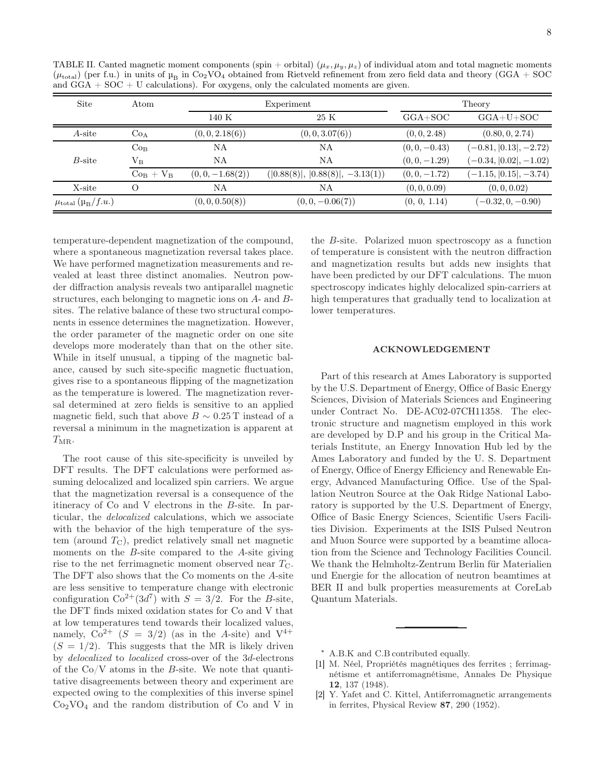| <b>Site</b>                              | Atom            |                    | Experiment                         | Theory          |                          |  |
|------------------------------------------|-----------------|--------------------|------------------------------------|-----------------|--------------------------|--|
|                                          |                 | 140 K              | 25 K                               | $GGA+SOC$       | $GGA+U+SOC$              |  |
| $A$ -site                                | Co <sub>A</sub> | (0,0,2.18(6))      | (0, 0, 3.07(6))                    | (0, 0, 2.48)    | (0.80, 0, 2.74)          |  |
|                                          | Co <sub>B</sub> | NA                 | ΝA                                 | $(0, 0, -0.43)$ | $(-0.81,  0.13 , -2.72)$ |  |
| B-site                                   | $\rm V_B$       | NΑ                 | NΑ                                 | $(0, 0, -1.29)$ | $(-0.34,  0.02 , -1.02)$ |  |
|                                          | $Co_B + V_B$    | $(0, 0, -1.68(2))$ | $( 0.88(8) ,  0.88(8) , -3.13(1))$ | $(0, 0, -1.72)$ | $(-1.15,  0.15 , -3.74)$ |  |
| X-site                                   | $\Omega$        | NΑ                 | ΝA                                 | (0, 0, 0.09)    | (0, 0, 0.02)             |  |
| $\mu_{\rm total}$ ( $\mu_{\rm B}/f.u.$ ) |                 | (0, 0, 0.50(8))    | $(0, 0, -0.06(7))$                 | (0, 0, 1.14)    | $(-0.32, 0, -0.90)$      |  |

<span id="page-7-3"></span>TABLE II. Canted magnetic moment components (spin + orbital)  $(\mu_x, \mu_y, \mu_z)$  of individual atom and total magnetic moments  $(\mu_{\text{total}})$  (per f.u.) in units of  $\mu_B$  in Co<sub>2</sub>VO<sub>4</sub> obtained from Rietveld refinement from zero field data and theory (GGA + SOC) and  $GGA + SOC + U$  calculations). For oxygens, only the calculated moments are given.

temperature-dependent magnetization of the compound, where a spontaneous magnetization reversal takes place. We have performed magnetization measurements and revealed at least three distinct anomalies. Neutron powder diffraction analysis reveals two antiparallel magnetic structures, each belonging to magnetic ions on A- and Bsites. The relative balance of these two structural components in essence determines the magnetization. However, the order parameter of the magnetic order on one site develops more moderately than that on the other site. While in itself unusual, a tipping of the magnetic balance, caused by such site-specific magnetic fluctuation, gives rise to a spontaneous flipping of the magnetization as the temperature is lowered. The magnetization reversal determined at zero fields is sensitive to an applied magnetic field, such that above  $B \sim 0.25$  T instead of a reversal a minimum in the magnetization is apparent at  $T_{\rm MR}$ .

The root cause of this site-specificity is unveiled by DFT results. The DFT calculations were performed assuming delocalized and localized spin carriers. We argue that the magnetization reversal is a consequence of the itineracy of Co and V electrons in the B-site. In particular, the delocalized calculations, which we associate with the behavior of the high temperature of the system (around  $T_{\text{C}}$ ), predict relatively small net magnetic moments on the B-site compared to the A-site giving rise to the net ferrimagnetic moment observed near  $T_{\text{C}}$ . The DFT also shows that the Co moments on the A-site are less sensitive to temperature change with electronic configuration  $Co^{2+}(3d^7)$  with  $S = 3/2$ . For the B-site, the DFT finds mixed oxidation states for Co and V that at low temperatures tend towards their localized values, namely,  $Co^{2+}$   $(S = 3/2)$  (as in the A-site) and  $V^{4+}$  $(S = 1/2)$ . This suggests that the MR is likely driven by delocalized to localized cross-over of the 3d-electrons of the  $Co/V$  atoms in the B-site. We note that quantitative disagreements between theory and experiment are expected owing to the complexities of this inverse spinel  $Co<sub>2</sub>VO<sub>4</sub>$  and the random distribution of Co and V in

the B-site. Polarized muon spectroscopy as a function of temperature is consistent with the neutron diffraction and magnetization results but adds new insights that have been predicted by our DFT calculations. The muon spectroscopy indicates highly delocalized spin-carriers at high temperatures that gradually tend to localization at lower temperatures.

## ACKNOWLEDGEMENT

Part of this research at Ames Laboratory is supported by the U.S. Department of Energy, Office of Basic Energy Sciences, Division of Materials Sciences and Engineering under Contract No. DE-AC02-07CH11358. The electronic structure and magnetism employed in this work are developed by D.P and his group in the Critical Materials Institute, an Energy Innovation Hub led by the Ames Laboratory and funded by the U. S. Department of Energy, Office of Energy Efficiency and Renewable Energy, Advanced Manufacturing Office. Use of the Spallation Neutron Source at the Oak Ridge National Laboratory is supported by the U.S. Department of Energy, Office of Basic Energy Sciences, Scientific Users Facilities Division. Experiments at the ISIS Pulsed Neutron and Muon Source were supported by a beamtime allocation from the Science and Technology Facilities Council. We thank the Helmholtz-Zentrum Berlin für Materialien und Energie for the allocation of neutron beamtimes at BER II and bulk properties measurements at CoreLab Quantum Materials.

<sup>∗</sup> A.B.K and C.B contributed equally.

- <span id="page-7-1"></span><span id="page-7-0"></span>[1] M. Néel, Propriétés magnétiques des ferrites ; ferrimagnétisme et antiferromagnétisme, Annales De Physique 12, 137 (1948).
- <span id="page-7-2"></span>[2] Y. Yafet and C. Kittel, Antiferromagnetic arrangements in ferrites, Physical Review 87, 290 (1952).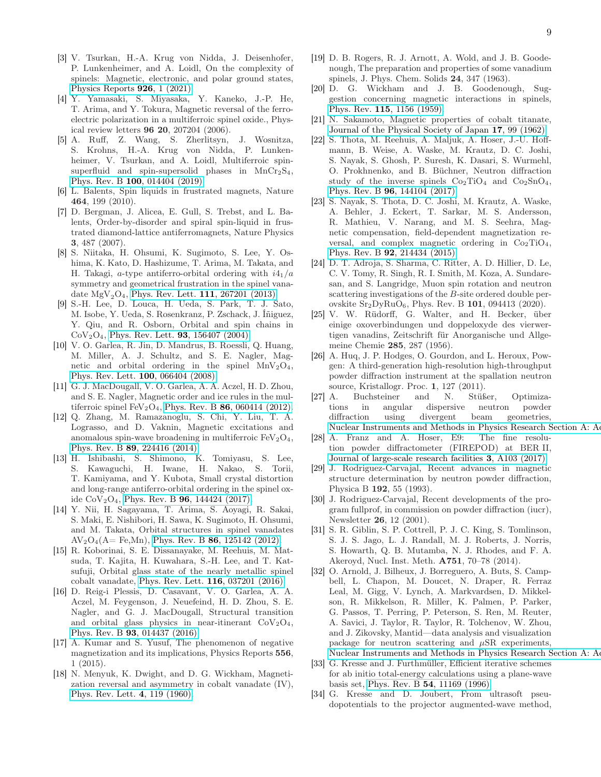- <span id="page-8-0"></span>[3] V. Tsurkan, H.-A. Krug von Nidda, J. Deisenhofer, P. Lunkenheimer, and A. Loidl, On the complexity of spinels: Magnetic, electronic, and polar ground states, [Physics Reports](https://doi.org/https://doi.org/10.1016/j.physrep.2021.04.002) 926, 1 (2021).
- <span id="page-8-1"></span>[4] Y. Yamasaki, S. Miyasaka, Y. Kaneko, J.-P. He, T. Arima, and Y. Tokura, Magnetic reversal of the ferroelectric polarization in a multiferroic spinel oxide., Physical review letters 96 20, 207204 (2006).
- <span id="page-8-2"></span>[5] A. Ruff, Z. Wang, S. Zherlitsyn, J. Wosnitza, S. Krohns, H.-A. Krug von Nidda, P. Lunkenheimer, V. Tsurkan, and A. Loidl, Multiferroic spinsuperfluid and spin-supersolid phases in  $MnCr<sub>2</sub>S<sub>4</sub>$ , Phys. Rev. B 100[, 014404 \(2019\).](https://doi.org/10.1103/PhysRevB.100.014404)
- <span id="page-8-3"></span>[6] L. Balents, Spin liquids in frustrated magnets, Nature 464, 199 (2010).
- <span id="page-8-4"></span>[7] D. Bergman, J. Alicea, E. Gull, S. Trebst, and L. Balents, Order-by-disorder and spiral spin-liquid in frustrated diamond-lattice antiferromagnets, Nature Physics 3, 487 (2007).
- <span id="page-8-5"></span>[8] S. Niitaka, H. Ohsumi, K. Sugimoto, S. Lee, Y. Oshima, K. Kato, D. Hashizume, T. Arima, M. Takata, and H. Takagi, a-type antiferro-orbital ordering with  $i4_1/a$ symmetry and geometrical frustration in the spinel vanadate  $MgV_2O_4$ , [Phys. Rev. Lett.](https://doi.org/10.1103/PhysRevLett.111.267201) 111, 267201 (2013).
- <span id="page-8-6"></span>[9] S.-H. Lee, D. Louca, H. Ueda, S. Park, T. J. Sato, M. Isobe, Y. Ueda, S. Rosenkranz, P. Zschack, J. Íñiguez, Y. Qiu, and R. Osborn, Orbital and spin chains in  $CoV<sub>2</sub>O<sub>4</sub>$ , [Phys. Rev. Lett.](https://doi.org/10.1103/PhysRevLett.93.156407) **93**, 156407 (2004).
- <span id="page-8-7"></span>[10] V. O. Garlea, R. Jin, D. Mandrus, B. Roessli, Q. Huang, M. Miller, A. J. Schultz, and S. E. Nagler, Magnetic and orbital ordering in the spinel  $MnV<sub>2</sub>O<sub>4</sub>$ , [Phys. Rev. Lett.](https://doi.org/10.1103/PhysRevLett.100.066404) 100, 066404 (2008).
- <span id="page-8-11"></span>[11] G. J. MacDougall, V. O. Garlea, A. A. Aczel, H. D. Zhou, and S. E. Nagler, Magnetic order and ice rules in the multiferroic spinel  $FeV<sub>2</sub>O<sub>4</sub>$ , Phys. Rev. B 86[, 060414 \(2012\).](https://doi.org/10.1103/PhysRevB.86.060414)
- [12] Q. Zhang, M. Ramazanoglu, S. Chi, Y. Liu, T. A. Lograsso, and D. Vaknin, Magnetic excitations and anomalous spin-wave broadening in multiferroic  $FeV<sub>2</sub>O<sub>4</sub>$ , Phys. Rev. B 89[, 224416 \(2014\).](https://doi.org/10.1103/PhysRevB.89.224416)
- <span id="page-8-19"></span>[13] H. Ishibashi, S. Shimono, K. Tomiyasu, S. Lee, S. Kawaguchi, H. Iwane, H. Nakao, S. Torii, T. Kamiyama, and Y. Kubota, Small crystal distortion and long-range antiferro-orbital ordering in the spinel oxide  $CoV<sub>2</sub>O<sub>4</sub>$ , Phys. Rev. B **96**[, 144424 \(2017\).](https://doi.org/10.1103/PhysRevB.96.144424)
- <span id="page-8-8"></span>[14] Y. Nii, H. Sagayama, T. Arima, S. Aoyagi, R. Sakai, S. Maki, E. Nishibori, H. Sawa, K. Sugimoto, H. Ohsumi, and M. Takata, Orbital structures in spinel vanadates  $AV_2O_4(A= Fe, Mn)$ , Phys. Rev. B 86[, 125142 \(2012\).](https://doi.org/10.1103/PhysRevB.86.125142)
- <span id="page-8-9"></span>[15] R. Koborinai, S. E. Dissanayake, M. Reehuis, M. Matsuda, T. Kajita, H. Kuwahara, S.-H. Lee, and T. Katsufuji, Orbital glass state of the nearly metallic spinel cobalt vanadate, [Phys. Rev. Lett.](https://doi.org/10.1103/PhysRevLett.116.037201) 116, 037201 (2016).
- <span id="page-8-10"></span>[16] D. Reig-i Plessis, D. Casavant, V. O. Garlea, A. A. Aczel, M. Feygenson, J. Neuefeind, H. D. Zhou, S. E. Nagler, and G. J. MacDougall, Structural transition and orbital glass physics in near-itinerant  $CoV<sub>2</sub>O<sub>4</sub>$ , Phys. Rev. B 93[, 014437 \(2016\).](https://doi.org/10.1103/PhysRevB.93.014437)
- <span id="page-8-12"></span>[17] A. Kumar and S. Yusuf, The phenomenon of negative magnetization and its implications, Physics Reports 556, 1 (2015).
- <span id="page-8-13"></span>[18] N. Menyuk, K. Dwight, and D. G. Wickham, Magnetization reversal and asymmetry in cobalt vanadate (IV), [Phys. Rev. Lett.](https://doi.org/10.1103/PhysRevLett.4.119) 4, 119 (1960).
- <span id="page-8-14"></span>[19] D. B. Rogers, R. J. Arnott, A. Wold, and J. B. Goodenough, The preparation and properties of some vanadium spinels, J. Phys. Chem. Solids 24, 347 (1963).
- <span id="page-8-15"></span>[20] D. G. Wickham and J. B. Goodenough, Suggestion concerning magnetic interactions in spinels, Phys. Rev. 115[, 1156 \(1959\).](https://doi.org/10.1103/PhysRev.115.1156)
- <span id="page-8-16"></span>[21] N. Sakamoto, Magnetic properties of cobalt titanate, [Journal of the Physical Society of Japan](https://doi.org/10.1143/JPSJ.17.99) 17, 99 (1962).
- [22] S. Thota, M. Reehuis, A. Maljuk, A. Hoser, J.-U. Hoffmann, B. Weise, A. Waske, M. Krautz, D. C. Joshi, S. Nayak, S. Ghosh, P. Suresh, K. Dasari, S. Wurmehl, O. Prokhnenko, and B. Büchner, Neutron diffraction study of the inverse spinels  $Co<sub>2</sub>TiO<sub>4</sub>$  and  $Co<sub>2</sub>SnO<sub>4</sub>$ , Phys. Rev. B 96[, 144104 \(2017\).](https://doi.org/10.1103/PhysRevB.96.144104)
- <span id="page-8-29"></span>[23] S. Nayak, S. Thota, D. C. Joshi, M. Krautz, A. Waske, A. Behler, J. Eckert, T. Sarkar, M. S. Andersson, R. Mathieu, V. Narang, and M. S. Seehra, Magnetic compensation, field-dependent magnetization reversal, and complex magnetic ordering in  $Co<sub>2</sub>TiO<sub>4</sub>$ , Phys. Rev. B 92[, 214434 \(2015\).](https://doi.org/10.1103/PhysRevB.92.214434)
- <span id="page-8-17"></span>[24] D. T. Adroja, S. Sharma, C. Ritter, A. D. Hillier, D. Le, C. V. Tomy, R. Singh, R. I. Smith, M. Koza, A. Sundaresan, and S. Langridge, Muon spin rotation and neutron scattering investigations of the B-site ordered double perovskite Sr2DyRuO6, Phys. Rev. B 101, 094413 (2020).
- <span id="page-8-18"></span>[25] V. W. Rüdorff, G. Walter, and H. Becker, über einige oxoverbindungen und doppeloxyde des vierwertigen vanadins, Zeitschrift für Anorganische und Allgemeine Chemie 285, 287 (1956).
- <span id="page-8-20"></span>[26] A. Huq, J. P. Hodges, O. Gourdon, and L. Heroux, Powgen: A third-generation high-resolution high-throughput powder diffraction instrument at the spallation neutron source, Kristallogr. Proc. 1, 127 (2011).
- <span id="page-8-21"></span>[27] A. Buchsteiner and N. Stüßer, Optimizations in angular dispersive neutron powder diffraction using divergent beam geometries, Nuclear Instruments and Methods in Physics Research Section A: A
- <span id="page-8-22"></span>[28] A. Franz and A. Hoser, E9: The fine resolution powder diffractometer (FIREPOD) at BER II, [Journal of large-scale research facilities](http://dx.doi.org/10.17815/jlsrf-3-127) 3, A103 (2017).
- <span id="page-8-23"></span>[29] J. Rodriguez-Carvajal, Recent advances in magnetic structure determination by neutron powder diffraction, Physica B 192, 55 (1993).
- <span id="page-8-24"></span>[30] J. Rodriguez-Carvajal, Recent developments of the program fullprof, in commission on powder diffraction (iucr), Newsletter 26, 12 (2001).
- <span id="page-8-25"></span>[31] S. R. Giblin, S. P. Cottrell, P. J. C. King, S. Tomlinson, S. J. S. Jago, L. J. Randall, M. J. Roberts, J. Norris, S. Howarth, Q. B. Mutamba, N. J. Rhodes, and F. A. Akeroyd, Nucl. Inst. Meth. A751, 70–78 (2014).
- <span id="page-8-26"></span>[32] O. Arnold, J. Bilheux, J. Borreguero, A. Buts, S. Campbell, L. Chapon, M. Doucet, N. Draper, R. Ferraz Leal, M. Gigg, V. Lynch, A. Markvardsen, D. Mikkelson, R. Mikkelson, R. Miller, K. Palmen, P. Parker, G. Passos, T. Perring, P. Peterson, S. Ren, M. Reuter, A. Savici, J. Taylor, R. Taylor, R. Tolchenov, W. Zhou, and J. Zikovsky, Mantid—data analysis and visualization package for neutron scattering and  $\mu$ SR experiments, Nuclear Instruments and Methods in Physics Research Section A: A
- <span id="page-8-27"></span>[33] G. Kresse and J. Furthmüller, Efficient iterative schemes for ab initio total-energy calculations using a plane-wave basis set, Phys. Rev. B 54[, 11169 \(1996\).](https://doi.org/10.1103/PhysRevB.54.11169)
- <span id="page-8-28"></span>[34] G. Kresse and D. Joubert, From ultrasoft pseudopotentials to the projector augmented-wave method,